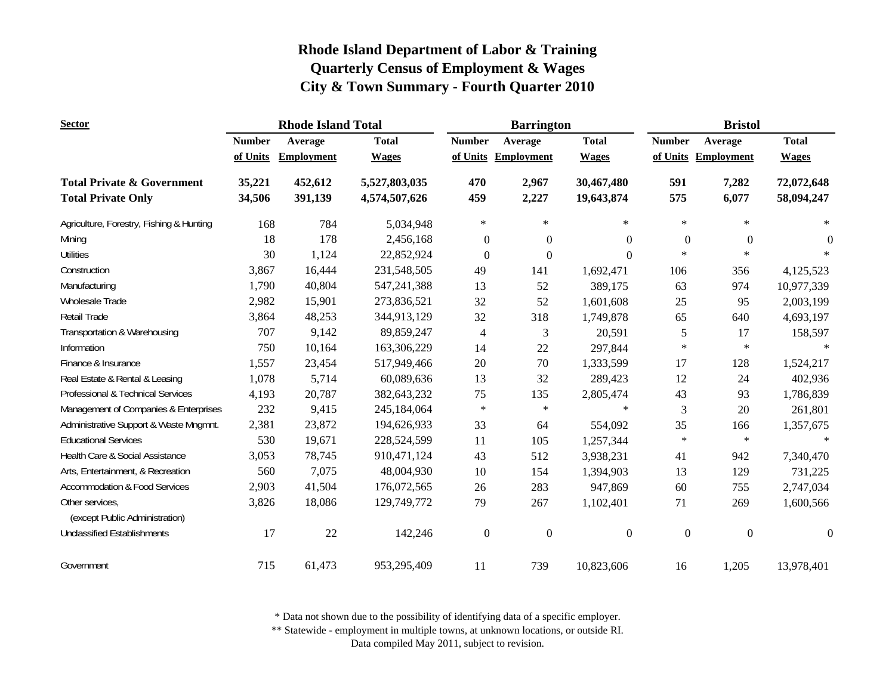| <b>Sector</b>                                                      |                  | <b>Rhode Island Total</b> |                                |                  | <b>Barrington</b>   |                          | <b>Bristol</b>   |                     |                          |
|--------------------------------------------------------------------|------------------|---------------------------|--------------------------------|------------------|---------------------|--------------------------|------------------|---------------------|--------------------------|
|                                                                    | <b>Number</b>    | Average                   | <b>Total</b>                   | <b>Number</b>    | Average             | <b>Total</b>             | <b>Number</b>    | Average             | <b>Total</b>             |
|                                                                    | of Units         | <b>Employment</b>         | <b>Wages</b>                   |                  | of Units Employment | <b>Wages</b>             |                  | of Units Employment | <b>Wages</b>             |
| <b>Total Private &amp; Government</b><br><b>Total Private Only</b> | 35,221<br>34,506 | 452,612<br>391,139        | 5,527,803,035<br>4,574,507,626 | 470<br>459       | 2,967<br>2,227      | 30,467,480<br>19,643,874 | 591<br>575       | 7,282<br>6,077      | 72,072,648<br>58,094,247 |
| Agriculture, Forestry, Fishing & Hunting                           | 168              | 784                       | 5,034,948                      | $\ast$           | $\star$             | $\ast$                   | $\ast$           | $\ast$              | $\ast$                   |
| Mining                                                             | 18               | 178                       | 2,456,168                      | $\boldsymbol{0}$ | $\theta$            | $\Omega$                 | $\boldsymbol{0}$ | $\mathbf{0}$        | $\theta$                 |
| <b>Utilities</b>                                                   | 30               | 1,124                     | 22,852,924                     | $\theta$         | $\Omega$            | $\Omega$                 | $\ast$           | $\ast$              | $\ast$                   |
| Construction                                                       | 3,867            | 16,444                    | 231,548,505                    | 49               | 141                 | 1,692,471                | 106              | 356                 | 4,125,523                |
| Manufacturing                                                      | 1,790            | 40,804                    | 547,241,388                    | 13               | 52                  | 389,175                  | 63               | 974                 | 10,977,339               |
| Wholesale Trade                                                    | 2,982            | 15,901                    | 273,836,521                    | 32               | 52                  | 1,601,608                | 25               | 95                  | 2,003,199                |
| Retail Trade                                                       | 3,864            | 48,253                    | 344,913,129                    | 32               | 318                 | 1,749,878                | 65               | 640                 | 4,693,197                |
| Transportation & Warehousing                                       | 707              | 9,142                     | 89,859,247                     | $\overline{4}$   | 3                   | 20,591                   | 5                | 17                  | 158,597                  |
| Information                                                        | 750              | 10,164                    | 163,306,229                    | 14               | 22                  | 297,844                  | $\ast$           | $\ast$              |                          |
| Finance & Insurance                                                | 1,557            | 23,454                    | 517,949,466                    | 20               | 70                  | 1,333,599                | 17               | 128                 | 1,524,217                |
| Real Estate & Rental & Leasing                                     | 1,078            | 5,714                     | 60,089,636                     | 13               | 32                  | 289,423                  | 12               | 24                  | 402,936                  |
| Professional & Technical Services                                  | 4,193            | 20,787                    | 382,643,232                    | 75               | 135                 | 2,805,474                | 43               | 93                  | 1,786,839                |
| Management of Companies & Enterprises                              | 232              | 9,415                     | 245,184,064                    | $\ast$           | $\ast$              | $\ast$                   | 3                | 20                  | 261,801                  |
| Administrative Support & Waste Mngmnt.                             | 2,381            | 23,872                    | 194,626,933                    | 33               | 64                  | 554,092                  | 35               | 166                 | 1,357,675                |
| <b>Educational Services</b>                                        | 530              | 19,671                    | 228,524,599                    | 11               | 105                 | 1,257,344                | $\ast$           | $\ast$              | $\ast$                   |
| Health Care & Social Assistance                                    | 3,053            | 78,745                    | 910,471,124                    | 43               | 512                 | 3,938,231                | 41               | 942                 | 7,340,470                |
| Arts, Entertainment, & Recreation                                  | 560              | 7,075                     | 48,004,930                     | 10               | 154                 | 1,394,903                | 13               | 129                 | 731,225                  |
| <b>Accommodation &amp; Food Services</b>                           | 2,903            | 41,504                    | 176,072,565                    | 26               | 283                 | 947,869                  | 60               | 755                 | 2,747,034                |
| Other services,<br>(except Public Administration)                  | 3,826            | 18,086                    | 129,749,772                    | 79               | 267                 | 1,102,401                | 71               | 269                 | 1,600,566                |
| <b>Unclassified Establishments</b>                                 | 17               | 22                        | 142,246                        | $\boldsymbol{0}$ | $\boldsymbol{0}$    | $\mathbf{0}$             | $\boldsymbol{0}$ | $\boldsymbol{0}$    | $\mathbf{0}$             |
| Government                                                         | 715              | 61,473                    | 953,295,409                    | 11               | 739                 | 10,823,606               | 16               | 1,205               | 13,978,401               |

\* Data not shown due to the possibility of identifying data of a specific employer.

\*\* Statewide - employment in multiple towns, at unknown locations, or outside RI.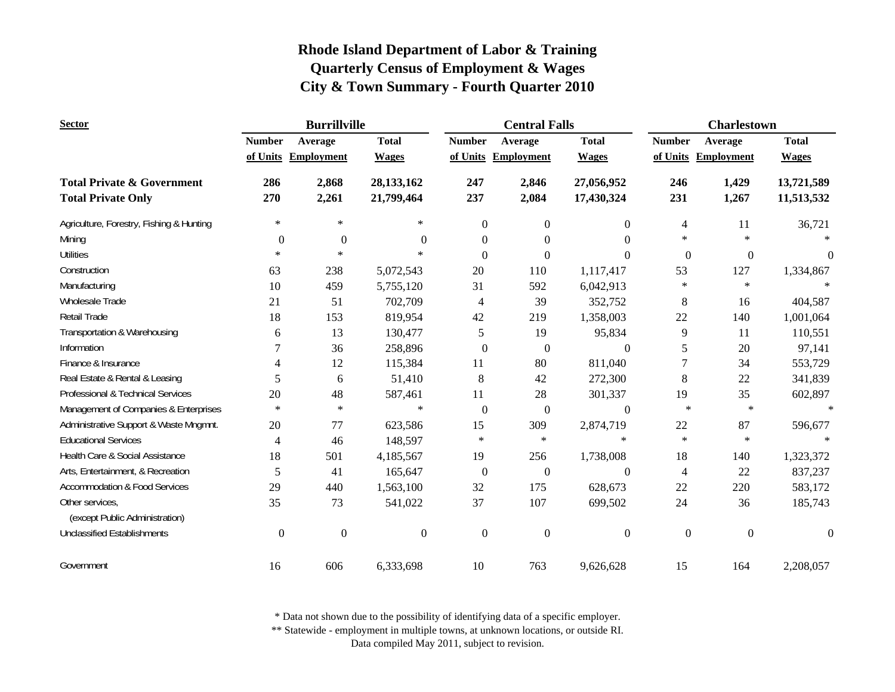| <b>Sector</b>                                     |                  | <b>Burrillville</b> |                  |                  | <b>Central Falls</b> |                  | <b>Charlestown</b> |                     |                  |
|---------------------------------------------------|------------------|---------------------|------------------|------------------|----------------------|------------------|--------------------|---------------------|------------------|
|                                                   | <b>Number</b>    | Average             | <b>Total</b>     | <b>Number</b>    | Average              | <b>Total</b>     | <b>Number</b>      | Average             | <b>Total</b>     |
|                                                   |                  | of Units Employment | <b>Wages</b>     |                  | of Units Employment  | <b>Wages</b>     |                    | of Units Employment | <b>Wages</b>     |
| <b>Total Private &amp; Government</b>             | 286              | 2,868               | 28,133,162       | 247              | 2,846                | 27,056,952       | 246                | 1,429               | 13,721,589       |
| <b>Total Private Only</b>                         | 270              | 2,261               | 21,799,464       | 237              | 2,084                | 17,430,324       | 231                | 1,267               | 11,513,532       |
| Agriculture, Forestry, Fishing & Hunting          | $\ast$           | $\ast$              | $\ast$           | $\overline{0}$   | $\overline{0}$       | $\mathbf{0}$     | 4                  | 11                  | 36,721           |
| Mining                                            | $\boldsymbol{0}$ | $\boldsymbol{0}$    | $\theta$         | $\overline{0}$   | $\overline{0}$       | $\Omega$         | $\ast$             | $\ast$              |                  |
| <b>Utilities</b>                                  | $\ast$           | $\ast$              | $\ast$           | $\theta$         | $\Omega$             | $\theta$         | $\boldsymbol{0}$   | $\boldsymbol{0}$    | $\Omega$         |
| Construction                                      | 63               | 238                 | 5,072,543        | 20               | 110                  | 1,117,417        | 53                 | 127                 | 1,334,867        |
| Manufacturing                                     | 10               | 459                 | 5,755,120        | 31               | 592                  | 6,042,913        | $\ast$             | $\ast$              |                  |
| Wholesale Trade                                   | 21               | 51                  | 702,709          | $\overline{4}$   | 39                   | 352,752          | 8                  | 16                  | 404,587          |
| Retail Trade                                      | 18               | 153                 | 819,954          | 42               | 219                  | 1,358,003        | $22\,$             | 140                 | 1,001,064        |
| Transportation & Warehousing                      | 6                | 13                  | 130,477          | 5                | 19                   | 95,834           | 9                  | 11                  | 110,551          |
| Information                                       | 7                | 36                  | 258,896          | $\overline{0}$   | $\overline{0}$       | $\overline{0}$   | 5                  | 20                  | 97,141           |
| Finance & Insurance                               | 4                | 12                  | 115,384          | 11               | 80                   | 811,040          | 7                  | 34                  | 553,729          |
| Real Estate & Rental & Leasing                    | 5                | 6                   | 51,410           | 8                | 42                   | 272,300          | 8                  | 22                  | 341,839          |
| Professional & Technical Services                 | 20               | 48                  | 587,461          | 11               | 28                   | 301,337          | 19                 | 35                  | 602,897          |
| Management of Companies & Enterprises             | $\ast$           | $\ast$              | $\ast$           | $\boldsymbol{0}$ | $\mathbf{0}$         | $\boldsymbol{0}$ | $\ast$             | $\ast$              |                  |
| Administrative Support & Waste Mngmnt.            | 20               | 77                  | 623,586          | 15               | 309                  | 2,874,719        | 22                 | 87                  | 596,677          |
| <b>Educational Services</b>                       | 4                | 46                  | 148,597          | $\ast$           | $\ast$               | $\ast$           | $\ast$             | $\ast$              | $\ast$           |
| Health Care & Social Assistance                   | 18               | 501                 | 4,185,567        | 19               | 256                  | 1,738,008        | 18                 | 140                 | 1,323,372        |
| Arts, Entertainment, & Recreation                 | 5                | 41                  | 165,647          | $\boldsymbol{0}$ | $\mathbf{0}$         | $\boldsymbol{0}$ | 4                  | 22                  | 837,237          |
| <b>Accommodation &amp; Food Services</b>          | 29               | 440                 | 1,563,100        | 32               | 175                  | 628,673          | 22                 | 220                 | 583,172          |
| Other services,<br>(except Public Administration) | 35               | 73                  | 541,022          | 37               | 107                  | 699,502          | 24                 | 36                  | 185,743          |
| <b>Unclassified Establishments</b>                | $\boldsymbol{0}$ | $\boldsymbol{0}$    | $\boldsymbol{0}$ | $\mathbf{0}$     | $\boldsymbol{0}$     | $\boldsymbol{0}$ | $\boldsymbol{0}$   | $\boldsymbol{0}$    | $\boldsymbol{0}$ |
| Government                                        | 16               | 606                 | 6,333,698        | 10               | 763                  | 9,626,628        | 15                 | 164                 | 2,208,057        |

\* Data not shown due to the possibility of identifying data of a specific employer.

\*\* Statewide - employment in multiple towns, at unknown locations, or outside RI.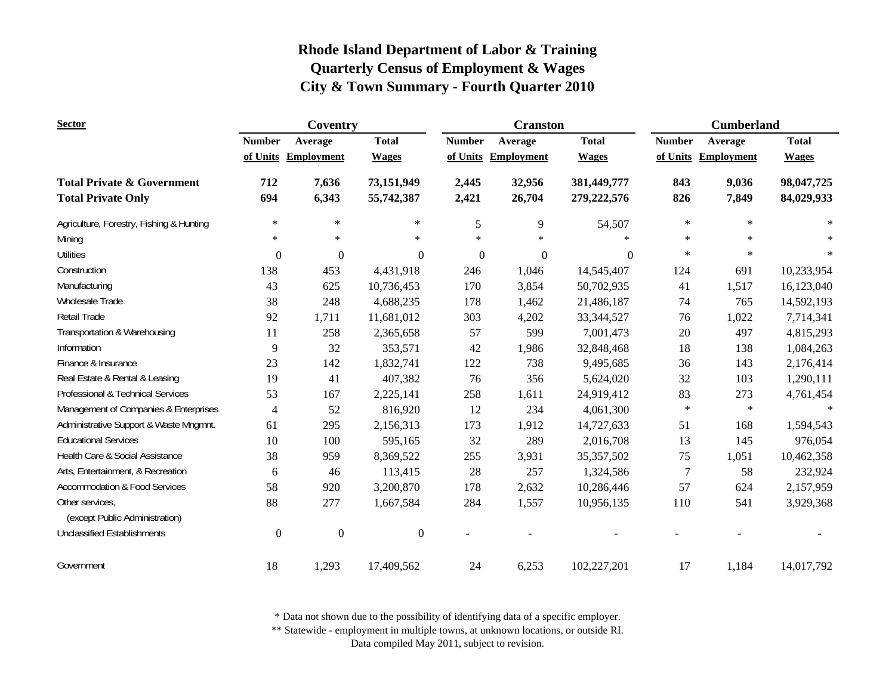| <b>Sector</b>                            |                  | Coventry            |                  |                | <b>Cranston</b>     |              | <b>Cumberland</b> |                     |              |
|------------------------------------------|------------------|---------------------|------------------|----------------|---------------------|--------------|-------------------|---------------------|--------------|
|                                          | <b>Number</b>    | Average             | <b>Total</b>     | <b>Number</b>  | Average             | <b>Total</b> | <b>Number</b>     | Average             | <b>Total</b> |
|                                          |                  | of Units Employment | <b>Wages</b>     |                | of Units Employment | <b>Wages</b> |                   | of Units Employment | <b>Wages</b> |
| <b>Total Private &amp; Government</b>    | 712              | 7,636               | 73,151,949       | 2,445          | 32,956              | 381,449,777  | 843               | 9,036               | 98,047,725   |
| <b>Total Private Only</b>                | 694              | 6,343               | 55,742,387       | 2,421          | 26,704              | 279,222,576  | 826               | 7,849               | 84,029,933   |
| Agriculture, Forestry, Fishing & Hunting | $\ast$           | $\ast$              | $\ast$           | 5              | 9                   | 54,507       | $\ast$            | $\ast$              | $\star$      |
| Mining                                   | $\ast$           | $\ast$              | $\ast$           | $\ast$         | $\ast$              |              | $\ast$            | $\ast$              |              |
| <b>Utilities</b>                         | $\mathbf{0}$     | $\mathbf{0}$        | $\boldsymbol{0}$ | $\overline{0}$ | $\theta$            | $\Omega$     | $\ast$            | $\ast$              | $\star$      |
| Construction                             | 138              | 453                 | 4,431,918        | 246            | 1,046               | 14,545,407   | 124               | 691                 | 10,233,954   |
| Manufacturing                            | 43               | 625                 | 10,736,453       | 170            | 3,854               | 50,702,935   | 41                | 1,517               | 16,123,040   |
| Wholesale Trade                          | 38               | 248                 | 4,688,235        | 178            | 1,462               | 21,486,187   | 74                | 765                 | 14,592,193   |
| Retail Trade                             | 92               | 1,711               | 11,681,012       | 303            | 4,202               | 33, 344, 527 | 76                | 1,022               | 7,714,341    |
| Transportation & Warehousing             | 11               | 258                 | 2,365,658        | 57             | 599                 | 7,001,473    | $20\,$            | 497                 | 4,815,293    |
| Information                              | 9                | 32                  | 353,571          | 42             | 1,986               | 32,848,468   | 18                | 138                 | 1,084,263    |
| Finance & Insurance                      | 23               | 142                 | 1,832,741        | 122            | 738                 | 9,495,685    | 36                | 143                 | 2,176,414    |
| Real Estate & Rental & Leasing           | 19               | 41                  | 407,382          | 76             | 356                 | 5,624,020    | 32                | 103                 | 1,290,111    |
| Professional & Technical Services        | 53               | 167                 | 2,225,141        | 258            | 1,611               | 24,919,412   | 83                | 273                 | 4,761,454    |
| Management of Companies & Enterprises    | 4                | 52                  | 816,920          | 12             | 234                 | 4,061,300    | $\ast$            | $\star$             |              |
| Administrative Support & Waste Mngmnt.   | 61               | 295                 | 2,156,313        | 173            | 1,912               | 14,727,633   | 51                | 168                 | 1,594,543    |
| <b>Educational Services</b>              | 10               | 100                 | 595,165          | 32             | 289                 | 2,016,708    | 13                | 145                 | 976,054      |
| Health Care & Social Assistance          | 38               | 959                 | 8,369,522        | 255            | 3,931               | 35, 357, 502 | 75                | 1,051               | 10,462,358   |
| Arts, Entertainment, & Recreation        | 6                | 46                  | 113,415          | 28             | 257                 | 1,324,586    | 7                 | 58                  | 232,924      |
| <b>Accommodation &amp; Food Services</b> | 58               | 920                 | 3,200,870        | 178            | 2,632               | 10,286,446   | 57                | 624                 | 2,157,959    |
| Other services,                          | 88               | 277                 | 1,667,584        | 284            | 1,557               | 10,956,135   | 110               | 541                 | 3,929,368    |
| (except Public Administration)           |                  |                     |                  |                |                     |              |                   |                     |              |
| <b>Unclassified Establishments</b>       | $\boldsymbol{0}$ | $\boldsymbol{0}$    | $\boldsymbol{0}$ |                |                     |              |                   |                     |              |
| Government                               | 18               | 1,293               | 17,409,562       | 24             | 6,253               | 102,227,201  | 17                | 1,184               | 14,017,792   |

\* Data not shown due to the possibility of identifying data of a specific employer.

\*\* Statewide - employment in multiple towns, at unknown locations, or outside RI.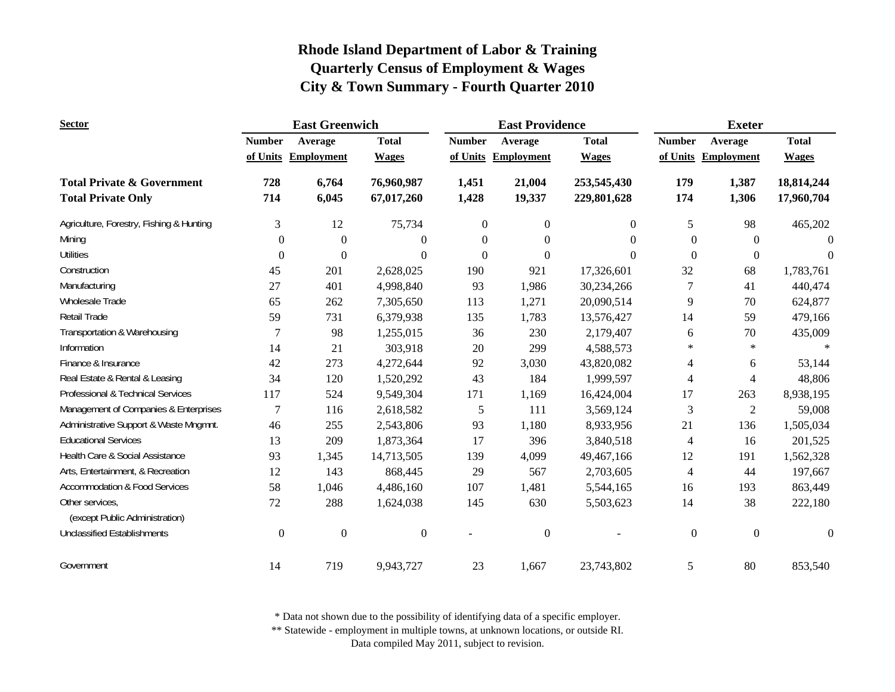| <b>Sector</b>                                     |                  | <b>East Greenwich</b> |                  |                | <b>East Providence</b> |              | <b>Exeter</b>            |                     |                  |
|---------------------------------------------------|------------------|-----------------------|------------------|----------------|------------------------|--------------|--------------------------|---------------------|------------------|
|                                                   | <b>Number</b>    | Average               | <b>Total</b>     | <b>Number</b>  | Average                | <b>Total</b> | <b>Number</b>            | Average             | <b>Total</b>     |
|                                                   |                  | of Units Employment   | <b>Wages</b>     |                | of Units Employment    | <b>Wages</b> |                          | of Units Employment | <b>Wages</b>     |
| <b>Total Private &amp; Government</b>             | 728              | 6,764                 | 76,960,987       | 1,451          | 21,004                 | 253,545,430  | 179                      | 1,387               | 18,814,244       |
| <b>Total Private Only</b>                         | 714              | 6,045                 | 67,017,260       | 1,428          | 19,337                 | 229,801,628  | 174                      | 1,306               | 17,960,704       |
| Agriculture, Forestry, Fishing & Hunting          | 3                | 12                    | 75,734           | $\overline{0}$ | $\overline{0}$         | $\theta$     | 5                        | 98                  | 465,202          |
| Mining                                            | $\boldsymbol{0}$ | $\mathbf{0}$          | $\theta$         | $\theta$       | $\Omega$               | 0            | $\mathbf{0}$             | $\theta$            | $\Omega$         |
| <b>Utilities</b>                                  | $\Omega$         | $\mathbf{0}$          | $\theta$         | $\theta$       | $\Omega$               | $\theta$     | $\theta$                 | $\Omega$            | $\theta$         |
| Construction                                      | 45               | 201                   | 2,628,025        | 190            | 921                    | 17,326,601   | 32                       | 68                  | 1,783,761        |
| Manufacturing                                     | 27               | 401                   | 4,998,840        | 93             | 1,986                  | 30,234,266   | 7                        | 41                  | 440,474          |
| Wholesale Trade                                   | 65               | 262                   | 7,305,650        | 113            | 1,271                  | 20,090,514   | 9                        | 70                  | 624,877          |
| Retail Trade                                      | 59               | 731                   | 6,379,938        | 135            | 1,783                  | 13,576,427   | 14                       | 59                  | 479,166          |
| Transportation & Warehousing                      | 7                | 98                    | 1,255,015        | 36             | 230                    | 2,179,407    | 6                        | 70                  | 435,009          |
| Information                                       | 14               | 21                    | 303,918          | 20             | 299                    | 4,588,573    | $\ast$                   | $\ast$              |                  |
| Finance & Insurance                               | 42               | 273                   | 4,272,644        | 92             | 3,030                  | 43,820,082   | 4                        | 6                   | 53,144           |
| Real Estate & Rental & Leasing                    | 34               | 120                   | 1,520,292        | 43             | 184                    | 1,999,597    | 4                        | 4                   | 48,806           |
| Professional & Technical Services                 | 117              | 524                   | 9,549,304        | 171            | 1,169                  | 16,424,004   | 17                       | 263                 | 8,938,195        |
| Management of Companies & Enterprises             | 7                | 116                   | 2,618,582        | 5              | 111                    | 3,569,124    | 3                        | $\overline{2}$      | 59,008           |
| Administrative Support & Waste Mngmnt.            | 46               | 255                   | 2,543,806        | 93             | 1,180                  | 8,933,956    | 21                       | 136                 | 1,505,034        |
| <b>Educational Services</b>                       | 13               | 209                   | 1,873,364        | 17             | 396                    | 3,840,518    | 4                        | 16                  | 201,525          |
| Health Care & Social Assistance                   | 93               | 1,345                 | 14,713,505       | 139            | 4,099                  | 49,467,166   | 12                       | 191                 | 1,562,328        |
| Arts, Entertainment, & Recreation                 | 12               | 143                   | 868,445          | 29             | 567                    | 2,703,605    | $\overline{\mathcal{A}}$ | 44                  | 197,667          |
| <b>Accommodation &amp; Food Services</b>          | 58               | 1,046                 | 4,486,160        | 107            | 1,481                  | 5,544,165    | 16                       | 193                 | 863,449          |
| Other services,<br>(except Public Administration) | 72               | 288                   | 1,624,038        | 145            | 630                    | 5,503,623    | 14                       | 38                  | 222,180          |
| <b>Unclassified Establishments</b>                | $\boldsymbol{0}$ | $\boldsymbol{0}$      | $\boldsymbol{0}$ |                | $\boldsymbol{0}$       |              | $\mathbf{0}$             | $\mathbf{0}$        | $\boldsymbol{0}$ |
| Government                                        | 14               | 719                   | 9,943,727        | 23             | 1,667                  | 23,743,802   | 5                        | 80                  | 853,540          |

\* Data not shown due to the possibility of identifying data of a specific employer.

\*\* Statewide - employment in multiple towns, at unknown locations, or outside RI.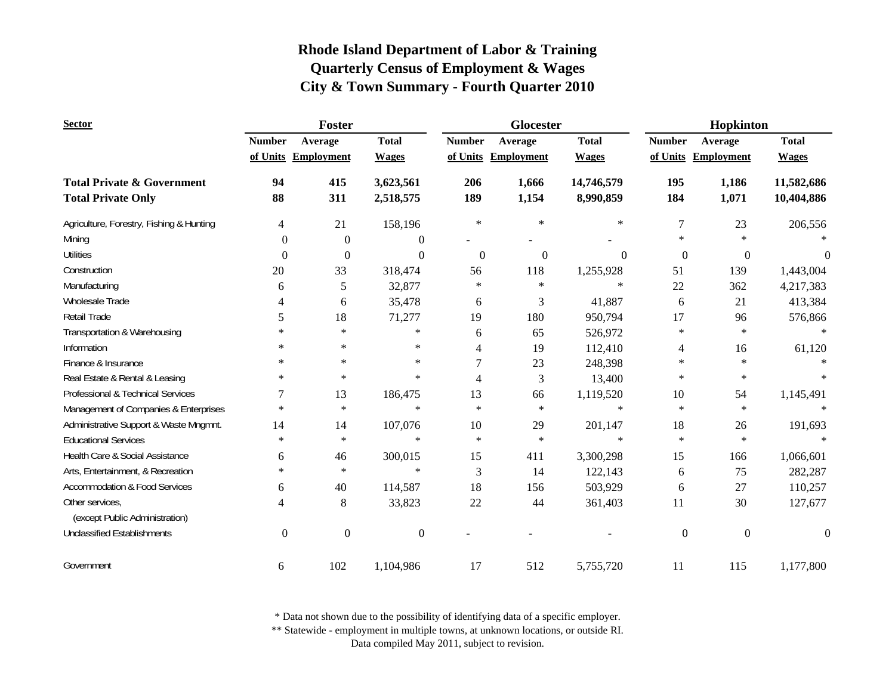| <b>Sector</b>                            |                  | Foster            |                  |               | Glocester           |              | Hopkinton        |                     |                  |
|------------------------------------------|------------------|-------------------|------------------|---------------|---------------------|--------------|------------------|---------------------|------------------|
|                                          | <b>Number</b>    | Average           | <b>Total</b>     | <b>Number</b> | Average             | <b>Total</b> | <b>Number</b>    | Average             | <b>Total</b>     |
|                                          | of Units         | <b>Employment</b> | <b>Wages</b>     |               | of Units Employment | <b>Wages</b> |                  | of Units Employment | <b>Wages</b>     |
| <b>Total Private &amp; Government</b>    | 94               | 415               | 3,623,561        | 206           | 1,666               | 14,746,579   | 195              | 1,186               | 11,582,686       |
| <b>Total Private Only</b>                | 88               | 311               | 2,518,575        | 189           | 1,154               | 8,990,859    | 184              | 1,071               | 10,404,886       |
| Agriculture, Forestry, Fishing & Hunting | 4                | 21                | 158,196          | $\ast$        | $\ast$              | $\ast$       | 7                | 23                  | 206,556          |
| Mining                                   | $\overline{0}$   | $\mathbf{0}$      | $\theta$         |               |                     |              | $\ast$           | $\ast$              |                  |
| <b>Utilities</b>                         | $\theta$         | $\boldsymbol{0}$  | $\Omega$         | $\theta$      | $\overline{0}$      | $\theta$     | $\boldsymbol{0}$ | $\boldsymbol{0}$    | $\theta$         |
| Construction                             | 20               | 33                | 318,474          | 56            | 118                 | 1,255,928    | 51               | 139                 | 1,443,004        |
| Manufacturing                            | 6                | 5                 | 32,877           | $\ast$        | $\ast$              | $\ast$       | 22               | 362                 | 4,217,383        |
| Wholesale Trade                          | 4                | 6                 | 35,478           | 6             | 3                   | 41,887       | 6                | 21                  | 413,384          |
| Retail Trade                             | 5                | 18                | 71,277           | 19            | 180                 | 950,794      | 17               | 96                  | 576,866          |
| Transportation & Warehousing             | $\ast$           | $\star$           | $\ast$           | 6             | 65                  | 526,972      | $\ast$           | $\ast$              |                  |
| Information                              | $\ast$           | $\star$           | *                | 4             | 19                  | 112,410      | $\overline{4}$   | 16                  | 61,120           |
| Finance & Insurance                      | *                | $\star$           | $\ast$           | 7             | 23                  | 248,398      | $\ast$           | $\ast$              |                  |
| Real Estate & Rental & Leasing           | *                | $\ast$            | $\ast$           | 4             | 3                   | 13,400       | $\ast$           | $\ast$              | $\ast$           |
| Professional & Technical Services        | 7                | 13                | 186,475          | 13            | 66                  | 1,119,520    | 10               | 54                  | 1,145,491        |
| Management of Companies & Enterprises    | $\ast$           | $\ast$            | $\ast$           | $\ast$        | $\ast$              | $\ast$       | $\ast$           | $\ast$              | $\ast$           |
| Administrative Support & Waste Mngmnt.   | 14               | 14                | 107,076          | 10            | 29                  | 201,147      | 18               | 26                  | 191,693          |
| <b>Educational Services</b>              | $\ast$           | $\ast$            | $\ast$           | $\ast$        | $\ast$              | $\ast$       | $\ast$           | $\ast$              | $\ast$           |
| Health Care & Social Assistance          | 6                | 46                | 300,015          | 15            | 411                 | 3,300,298    | 15               | 166                 | 1,066,601        |
| Arts, Entertainment, & Recreation        | $\ast$           | $\ast$            | $\ast$           | 3             | 14                  | 122,143      | 6                | 75                  | 282,287          |
| <b>Accommodation &amp; Food Services</b> | 6                | 40                | 114,587          | 18            | 156                 | 503,929      | 6                | 27                  | 110,257          |
| Other services,                          | 4                | 8                 | 33,823           | 22            | 44                  | 361,403      | 11               | 30                  | 127,677          |
| (except Public Administration)           |                  |                   |                  |               |                     |              |                  |                     |                  |
| <b>Unclassified Establishments</b>       | $\boldsymbol{0}$ | $\boldsymbol{0}$  | $\boldsymbol{0}$ |               |                     |              | $\boldsymbol{0}$ | $\boldsymbol{0}$    | $\boldsymbol{0}$ |
| Government                               | 6                | 102               | 1,104,986        | 17            | 512                 | 5,755,720    | 11               | 115                 | 1,177,800        |

\* Data not shown due to the possibility of identifying data of a specific employer.

\*\* Statewide - employment in multiple towns, at unknown locations, or outside RI.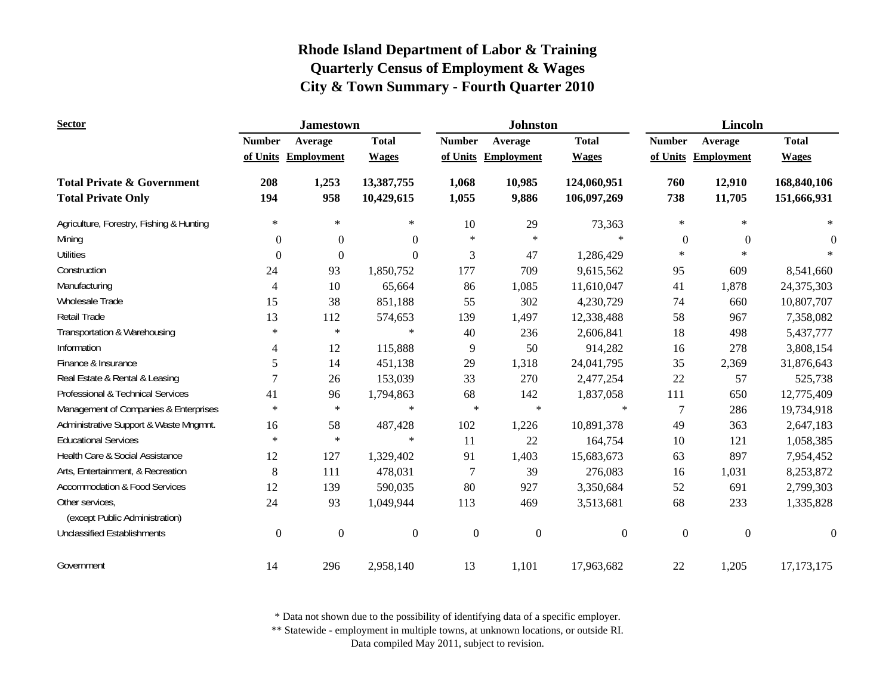| <b>Sector</b>                                     |                  | <b>Jamestown</b>    |                  |                  | <b>Johnston</b>   |                  | <b>Lincoln</b>   |                     |                  |
|---------------------------------------------------|------------------|---------------------|------------------|------------------|-------------------|------------------|------------------|---------------------|------------------|
|                                                   | <b>Number</b>    | Average             | <b>Total</b>     | <b>Number</b>    | Average           | <b>Total</b>     | <b>Number</b>    | Average             | <b>Total</b>     |
|                                                   |                  | of Units Employment | <b>Wages</b>     | of Units         | <b>Employment</b> | <b>Wages</b>     |                  | of Units Employment | <b>Wages</b>     |
| <b>Total Private &amp; Government</b>             | 208              | 1,253               | 13,387,755       | 1,068            | 10,985            | 124,060,951      | 760              | 12,910              | 168,840,106      |
| <b>Total Private Only</b>                         | 194              | 958                 | 10,429,615       | 1,055            | 9,886             | 106,097,269      | 738              | 11,705              | 151,666,931      |
| Agriculture, Forestry, Fishing & Hunting          | $\ast$           | $\ast$              | $\ast$           | 10               | 29                | 73,363           | $\ast$           | $\ast$              | $\ast$           |
| Mining                                            | $\overline{0}$   | $\boldsymbol{0}$    | $\boldsymbol{0}$ | $\ast$           | $\ast$            | $\ast$           | $\mathbf{0}$     | $\overline{0}$      | $\theta$         |
| <b>Utilities</b>                                  | $\Omega$         | $\boldsymbol{0}$    | $\mathbf{0}$     | 3                | 47                | 1,286,429        | $\ast$           | $\ast$              |                  |
| Construction                                      | 24               | 93                  | 1,850,752        | 177              | 709               | 9,615,562        | 95               | 609                 | 8,541,660        |
| Manufacturing                                     | 4                | 10                  | 65,664           | 86               | 1,085             | 11,610,047       | 41               | 1,878               | 24,375,303       |
| <b>Wholesale Trade</b>                            | 15               | 38                  | 851,188          | 55               | 302               | 4,230,729        | 74               | 660                 | 10,807,707       |
| Retail Trade                                      | 13               | 112                 | 574,653          | 139              | 1,497             | 12,338,488       | 58               | 967                 | 7,358,082        |
| Transportation & Warehousing                      | $\ast$           | $\ast$              | $\ast$           | 40               | 236               | 2,606,841        | 18               | 498                 | 5,437,777        |
| Information                                       | 4                | 12                  | 115,888          | 9                | 50                | 914,282          | 16               | 278                 | 3,808,154        |
| Finance & Insurance                               | 5                | 14                  | 451,138          | 29               | 1,318             | 24,041,795       | 35               | 2,369               | 31,876,643       |
| Real Estate & Rental & Leasing                    |                  | 26                  | 153,039          | 33               | 270               | 2,477,254        | 22               | 57                  | 525,738          |
| Professional & Technical Services                 | 41               | 96                  | 1,794,863        | 68               | 142               | 1,837,058        | 111              | 650                 | 12,775,409       |
| Management of Companies & Enterprises             | $\ast$           | $\ast$              | $\ast$           | $\star$          | $\ast$            | $\ast$           | 7                | 286                 | 19,734,918       |
| Administrative Support & Waste Mngmnt.            | 16               | 58                  | 487,428          | 102              | 1,226             | 10,891,378       | 49               | 363                 | 2,647,183        |
| <b>Educational Services</b>                       | $\ast$           | $\ast$              | $\ast$           | 11               | 22                | 164,754          | 10               | 121                 | 1,058,385        |
| Health Care & Social Assistance                   | 12               | 127                 | 1,329,402        | 91               | 1,403             | 15,683,673       | 63               | 897                 | 7,954,452        |
| Arts, Entertainment, & Recreation                 | 8                | 111                 | 478,031          | $\overline{7}$   | 39                | 276,083          | 16               | 1,031               | 8,253,872        |
| <b>Accommodation &amp; Food Services</b>          | 12               | 139                 | 590,035          | 80               | 927               | 3,350,684        | 52               | 691                 | 2,799,303        |
| Other services.<br>(except Public Administration) | 24               | 93                  | 1,049,944        | 113              | 469               | 3,513,681        | 68               | 233                 | 1,335,828        |
| <b>Unclassified Establishments</b>                | $\boldsymbol{0}$ | $\boldsymbol{0}$    | $\boldsymbol{0}$ | $\boldsymbol{0}$ | $\boldsymbol{0}$  | $\boldsymbol{0}$ | $\boldsymbol{0}$ | $\boldsymbol{0}$    | $\boldsymbol{0}$ |
|                                                   |                  |                     |                  |                  |                   |                  |                  |                     |                  |
| Government                                        | 14               | 296                 | 2,958,140        | 13               | 1,101             | 17,963,682       | 22               | 1,205               | 17, 173, 175     |

\* Data not shown due to the possibility of identifying data of a specific employer.

\*\* Statewide - employment in multiple towns, at unknown locations, or outside RI.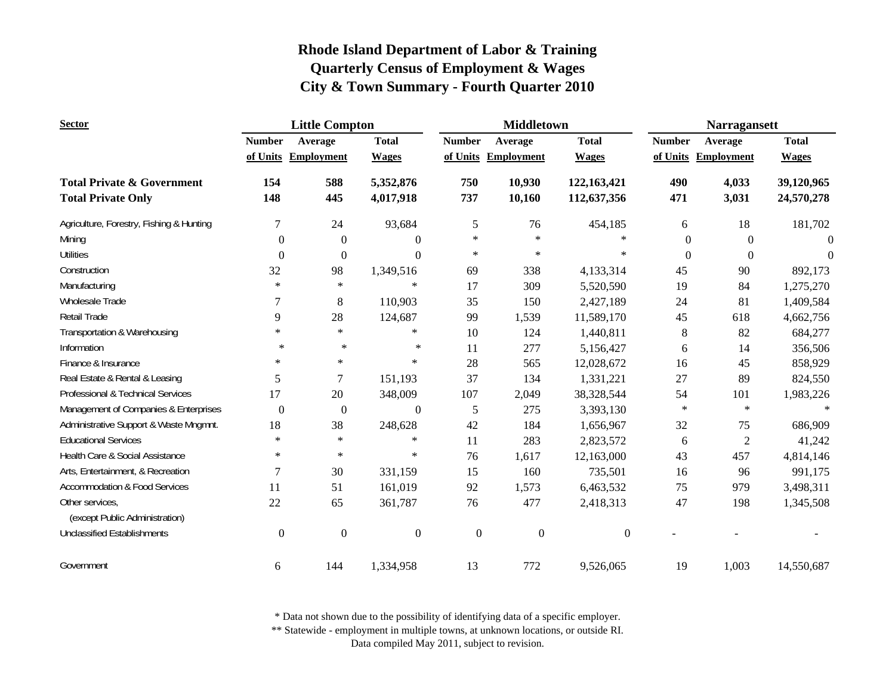| <b>Sector</b>                                     |                  | <b>Little Compton</b> |                  |                  | <b>Middletown</b>   |                  | <b>Narragansett</b> |                     |              |
|---------------------------------------------------|------------------|-----------------------|------------------|------------------|---------------------|------------------|---------------------|---------------------|--------------|
|                                                   | <b>Number</b>    | Average               | <b>Total</b>     | <b>Number</b>    | Average             | <b>Total</b>     | <b>Number</b>       | Average             | <b>Total</b> |
|                                                   |                  | of Units Employment   | <b>Wages</b>     |                  | of Units Employment | <b>Wages</b>     |                     | of Units Employment | <b>Wages</b> |
| <b>Total Private &amp; Government</b>             | 154              | 588                   | 5,352,876        | 750              | 10,930              | 122,163,421      | 490                 | 4,033               | 39,120,965   |
| <b>Total Private Only</b>                         | 148              | 445                   | 4,017,918        | 737              | 10,160              | 112,637,356      | 471                 | 3,031               | 24,570,278   |
| Agriculture, Forestry, Fishing & Hunting          | 7                | 24                    | 93,684           | 5                | 76                  | 454,185          | 6                   | 18                  | 181,702      |
| Mining                                            | $\mathbf{0}$     | $\boldsymbol{0}$      | $\mathbf{0}$     | $\ast$           | $\ast$              | $\ast$           | $\mathbf{0}$        | $\mathbf{0}$        | $\theta$     |
| <b>Utilities</b>                                  | $\mathbf{0}$     | $\boldsymbol{0}$      | $\theta$         | $\ast$           | $\ast$              | $\ast$           | $\mathbf{0}$        | $\Omega$            | $\Omega$     |
| Construction                                      | 32               | 98                    | 1,349,516        | 69               | 338                 | 4,133,314        | 45                  | 90                  | 892,173      |
| Manufacturing                                     | $\ast$           | $\ast$                | $\ast$           | 17               | 309                 | 5,520,590        | 19                  | 84                  | 1,275,270    |
| Wholesale Trade                                   | 7                | 8                     | 110,903          | 35               | 150                 | 2,427,189        | 24                  | 81                  | 1,409,584    |
| Retail Trade                                      | 9                | 28                    | 124,687          | 99               | 1,539               | 11,589,170       | 45                  | 618                 | 4,662,756    |
| Transportation & Warehousing                      | $\ast$           | $\star$               | $\ast$           | 10               | 124                 | 1,440,811        | $8\,$               | 82                  | 684,277      |
| Information                                       | $\ast$           | $\ast$                | $\ast$           | 11               | 277                 | 5,156,427        | 6                   | 14                  | 356,506      |
| Finance & Insurance                               | $\ast$           | $\ast$                | $\ast$           | 28               | 565                 | 12,028,672       | 16                  | 45                  | 858,929      |
| Real Estate & Rental & Leasing                    | 5                | 7                     | 151,193          | 37               | 134                 | 1,331,221        | 27                  | 89                  | 824,550      |
| Professional & Technical Services                 | 17               | 20                    | 348,009          | 107              | 2,049               | 38,328,544       | 54                  | 101                 | 1,983,226    |
| Management of Companies & Enterprises             | $\mathbf{0}$     | $\boldsymbol{0}$      | $\boldsymbol{0}$ | 5                | 275                 | 3,393,130        | $\ast$              | $\ast$              | $\ast$       |
| Administrative Support & Waste Mngmnt.            | 18               | 38                    | 248,628          | 42               | 184                 | 1,656,967        | 32                  | 75                  | 686,909      |
| <b>Educational Services</b>                       | $\ast$           | $\ast$                | $\ast$           | 11               | 283                 | 2,823,572        | 6                   | $\overline{2}$      | 41,242       |
| Health Care & Social Assistance                   | $\ast$           | $\ast$                | $\ast$           | 76               | 1,617               | 12,163,000       | 43                  | 457                 | 4,814,146    |
| Arts, Entertainment, & Recreation                 | 7                | 30                    | 331,159          | 15               | 160                 | 735,501          | 16                  | 96                  | 991,175      |
| Accommodation & Food Services                     | 11               | 51                    | 161,019          | 92               | 1,573               | 6,463,532        | 75                  | 979                 | 3,498,311    |
| Other services,<br>(except Public Administration) | 22               | 65                    | 361,787          | 76               | 477                 | 2,418,313        | 47                  | 198                 | 1,345,508    |
| <b>Unclassified Establishments</b>                | $\boldsymbol{0}$ | $\boldsymbol{0}$      | $\boldsymbol{0}$ | $\boldsymbol{0}$ | $\boldsymbol{0}$    | $\boldsymbol{0}$ |                     |                     |              |
| Government                                        | 6                | 144                   | 1,334,958        | 13               | 772                 | 9,526,065        | 19                  | 1,003               | 14,550,687   |

\* Data not shown due to the possibility of identifying data of a specific employer.

\*\* Statewide - employment in multiple towns, at unknown locations, or outside RI.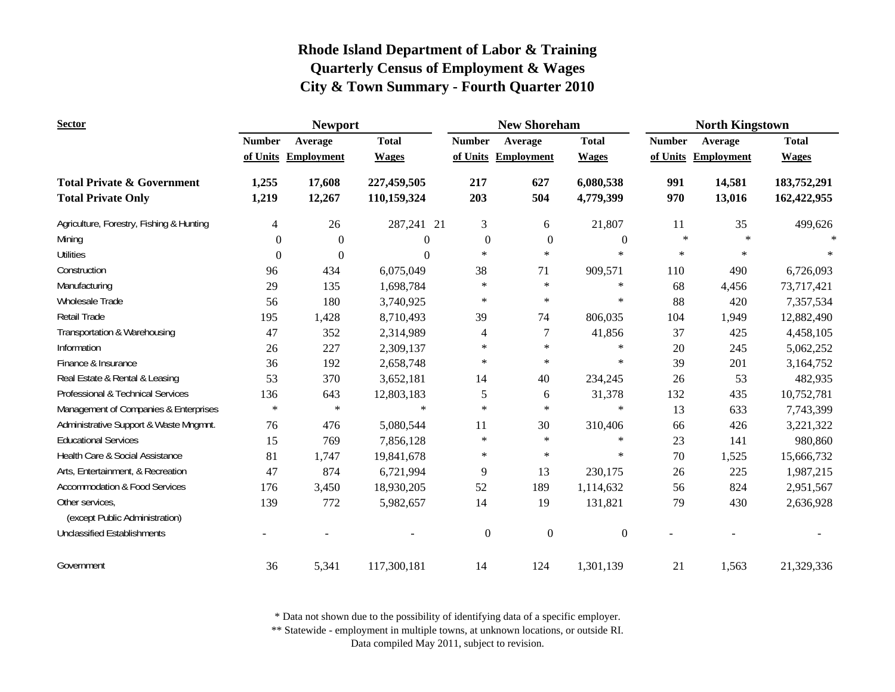| <b>Sector</b>                                     | <b>Newport</b> |                   |                  |                  | <b>New Shoreham</b> |                  | <b>North Kingstown</b> |                   |              |
|---------------------------------------------------|----------------|-------------------|------------------|------------------|---------------------|------------------|------------------------|-------------------|--------------|
|                                                   | <b>Number</b>  | Average           | <b>Total</b>     | <b>Number</b>    | Average             | <b>Total</b>     | <b>Number</b>          | Average           | <b>Total</b> |
|                                                   | of Units       | <b>Employment</b> | <b>Wages</b>     | of Units         | <b>Employment</b>   | <b>Wages</b>     | of Units               | <b>Employment</b> | <b>Wages</b> |
| <b>Total Private &amp; Government</b>             | 1,255          | 17,608            | 227,459,505      | 217              | 627                 | 6,080,538        | 991                    | 14,581            | 183,752,291  |
| <b>Total Private Only</b>                         | 1,219          | 12,267            | 110,159,324      | 203              | 504                 | 4,779,399        | 970                    | 13,016            | 162,422,955  |
| Agriculture, Forestry, Fishing & Hunting          | 4              | 26                | 287,241 21       | 3                | 6                   | 21,807           | 11                     | 35                | 499,626      |
| Mining                                            | $\mathbf{0}$   | $\mathbf{0}$      | $\boldsymbol{0}$ | $\mathbf{0}$     | $\mathbf{0}$        | $\mathbf{0}$     | $\ast$                 | $\ast$            |              |
| <b>Utilities</b>                                  | $\overline{0}$ | $\boldsymbol{0}$  | $\Omega$         | $\ast$           | $\ast$              | $\ast$           | $\ast$                 | $\ast$            |              |
| Construction                                      | 96             | 434               | 6,075,049        | 38               | 71                  | 909,571          | 110                    | 490               | 6,726,093    |
| Manufacturing                                     | 29             | 135               | 1,698,784        | $\ast$           | $\ast$              | $\ast$           | 68                     | 4,456             | 73,717,421   |
| <b>Wholesale Trade</b>                            | 56             | 180               | 3,740,925        | $\ast$           | $\ast$              | $\ast$           | 88                     | 420               | 7,357,534    |
| <b>Retail Trade</b>                               | 195            | 1,428             | 8,710,493        | 39               | 74                  | 806,035          | 104                    | 1,949             | 12,882,490   |
| Transportation & Warehousing                      | 47             | 352               | 2,314,989        | 4                | 7                   | 41,856           | 37                     | 425               | 4,458,105    |
| Information                                       | 26             | 227               | 2,309,137        | $\ast$           | $\ast$              | $\ast$           | 20                     | 245               | 5,062,252    |
| Finance & Insurance                               | 36             | 192               | 2,658,748        | $\star$          | $\ast$              | $\ast$           | 39                     | 201               | 3,164,752    |
| Real Estate & Rental & Leasing                    | 53             | 370               | 3,652,181        | 14               | 40                  | 234,245          | 26                     | 53                | 482,935      |
| Professional & Technical Services                 | 136            | 643               | 12,803,183       | 5                | 6                   | 31,378           | 132                    | 435               | 10,752,781   |
| Management of Companies & Enterprises             | $\ast$         | $\ast$            | $\ast$           | $\ast$           | $\ast$              | $\ast$           | 13                     | 633               | 7,743,399    |
| Administrative Support & Waste Mngmnt.            | 76             | 476               | 5,080,544        | 11               | 30                  | 310,406          | 66                     | 426               | 3,221,322    |
| <b>Educational Services</b>                       | 15             | 769               | 7,856,128        | $\star$          | $\ast$              | $\ast$           | 23                     | 141               | 980,860      |
| Health Care & Social Assistance                   | 81             | 1,747             | 19,841,678       | $\ast$           | $\ast$              | $\ast$           | 70                     | 1,525             | 15,666,732   |
| Arts, Entertainment, & Recreation                 | 47             | 874               | 6,721,994        | 9                | 13                  | 230,175          | 26                     | 225               | 1,987,215    |
| <b>Accommodation &amp; Food Services</b>          | 176            | 3,450             | 18,930,205       | 52               | 189                 | 1,114,632        | 56                     | 824               | 2,951,567    |
| Other services.<br>(except Public Administration) | 139            | 772               | 5,982,657        | 14               | 19                  | 131,821          | 79                     | 430               | 2,636,928    |
| <b>Unclassified Establishments</b>                |                |                   |                  | $\boldsymbol{0}$ | $\boldsymbol{0}$    | $\boldsymbol{0}$ |                        |                   |              |
| Government                                        | 36             | 5,341             | 117,300,181      | 14               | 124                 | 1,301,139        | 21                     | 1,563             | 21,329,336   |

\* Data not shown due to the possibility of identifying data of a specific employer.

\*\* Statewide - employment in multiple towns, at unknown locations, or outside RI.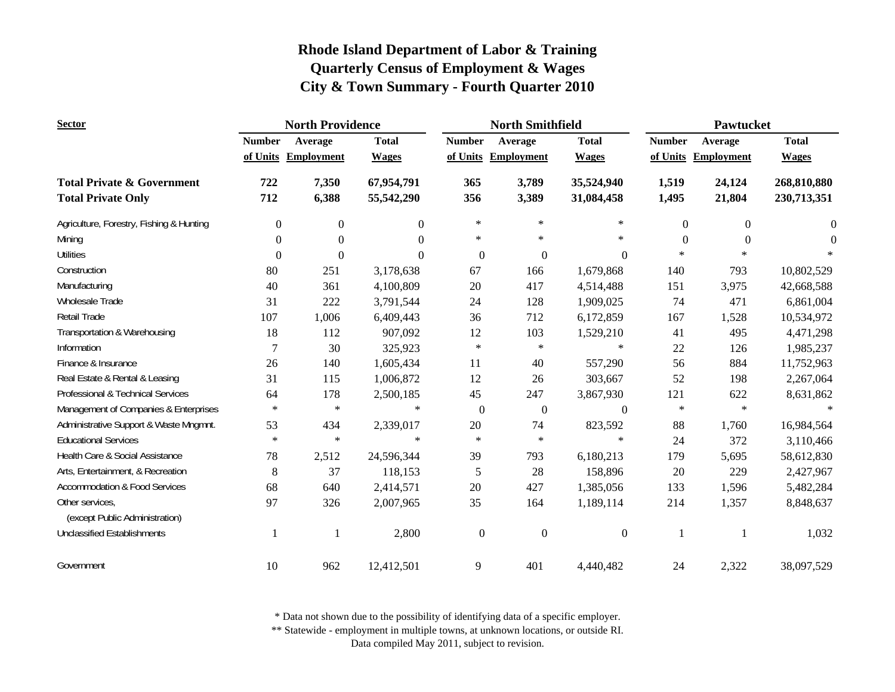| <b>Sector</b>                                     |                | <b>North Providence</b> |              |                  | <b>North Smithfield</b> |                  | <b>Pawtucket</b> |                     |                |
|---------------------------------------------------|----------------|-------------------------|--------------|------------------|-------------------------|------------------|------------------|---------------------|----------------|
|                                                   | <b>Number</b>  | Average                 | <b>Total</b> | <b>Number</b>    | Average                 | <b>Total</b>     | <b>Number</b>    | Average             | <b>Total</b>   |
|                                                   |                | of Units Employment     | <b>Wages</b> | of Units         | <b>Employment</b>       | <b>Wages</b>     |                  | of Units Employment | <b>Wages</b>   |
| <b>Total Private &amp; Government</b>             | 722            | 7,350                   | 67,954,791   | 365              | 3,789                   | 35,524,940       | 1,519            | 24,124              | 268,810,880    |
| <b>Total Private Only</b>                         | 712            | 6,388                   | 55,542,290   | 356              | 3,389                   | 31,084,458       | 1,495            | 21,804              | 230,713,351    |
| Agriculture, Forestry, Fishing & Hunting          | $\overline{0}$ | $\mathbf{0}$            | $\Omega$     | $\ast$           | $\ast$                  | $\ast$           | $\overline{0}$   | $\overline{0}$      | $\overline{0}$ |
| Mining                                            | $\overline{0}$ | $\mathbf{0}$            | $\Omega$     | $\ast$           | $\ast$                  | $\ast$           | $\Omega$         | $\theta$            | $\Omega$       |
| <b>Utilities</b>                                  | $\Omega$       | $\Omega$                | $\Omega$     | $\mathbf{0}$     | $\mathbf{0}$            | $\Omega$         | $\ast$           | $\ast$              |                |
| Construction                                      | 80             | 251                     | 3,178,638    | 67               | 166                     | 1,679,868        | 140              | 793                 | 10,802,529     |
| Manufacturing                                     | 40             | 361                     | 4,100,809    | 20               | 417                     | 4,514,488        | 151              | 3,975               | 42,668,588     |
| Wholesale Trade                                   | 31             | 222                     | 3,791,544    | 24               | 128                     | 1,909,025        | 74               | 471                 | 6,861,004      |
| Retail Trade                                      | 107            | 1,006                   | 6,409,443    | 36               | 712                     | 6,172,859        | 167              | 1,528               | 10,534,972     |
| Transportation & Warehousing                      | 18             | 112                     | 907,092      | 12               | 103                     | 1,529,210        | 41               | 495                 | 4,471,298      |
| Information                                       | 7              | 30                      | 325,923      | $\ast$           | $\ast$                  | $\ast$           | 22               | 126                 | 1,985,237      |
| Finance & Insurance                               | 26             | 140                     | 1,605,434    | 11               | 40                      | 557,290          | 56               | 884                 | 11,752,963     |
| Real Estate & Rental & Leasing                    | 31             | 115                     | 1,006,872    | 12               | 26                      | 303,667          | 52               | 198                 | 2,267,064      |
| Professional & Technical Services                 | 64             | 178                     | 2,500,185    | 45               | 247                     | 3,867,930        | 121              | 622                 | 8,631,862      |
| Management of Companies & Enterprises             | $\ast$         | $\ast$                  | $\ast$       | $\boldsymbol{0}$ | $\boldsymbol{0}$        | $\boldsymbol{0}$ | $\ast$           | $\ast$              |                |
| Administrative Support & Waste Mngmnt.            | 53             | 434                     | 2,339,017    | 20               | 74                      | 823,592          | 88               | 1,760               | 16,984,564     |
| <b>Educational Services</b>                       | $\ast$         | $\ast$                  | $\ast$       | $\ast$           | $\ast$                  | $\ast$           | 24               | 372                 | 3,110,466      |
| Health Care & Social Assistance                   | 78             | 2,512                   | 24,596,344   | 39               | 793                     | 6,180,213        | 179              | 5,695               | 58,612,830     |
| Arts, Entertainment, & Recreation                 | $\,$ 8 $\,$    | 37                      | 118,153      | 5                | 28                      | 158,896          | 20               | 229                 | 2,427,967      |
| <b>Accommodation &amp; Food Services</b>          | 68             | 640                     | 2,414,571    | $20\,$           | 427                     | 1,385,056        | 133              | 1,596               | 5,482,284      |
| Other services,<br>(except Public Administration) | 97             | 326                     | 2,007,965    | 35               | 164                     | 1,189,114        | 214              | 1,357               | 8,848,637      |
| <b>Unclassified Establishments</b>                |                |                         | 2,800        | $\boldsymbol{0}$ | $\boldsymbol{0}$        | $\boldsymbol{0}$ | $\mathbf{1}$     |                     | 1,032          |
| Government                                        | 10             | 962                     | 12,412,501   | 9                | 401                     | 4,440,482        | 24               | 2,322               | 38,097,529     |

\* Data not shown due to the possibility of identifying data of a specific employer.

\*\* Statewide - employment in multiple towns, at unknown locations, or outside RI.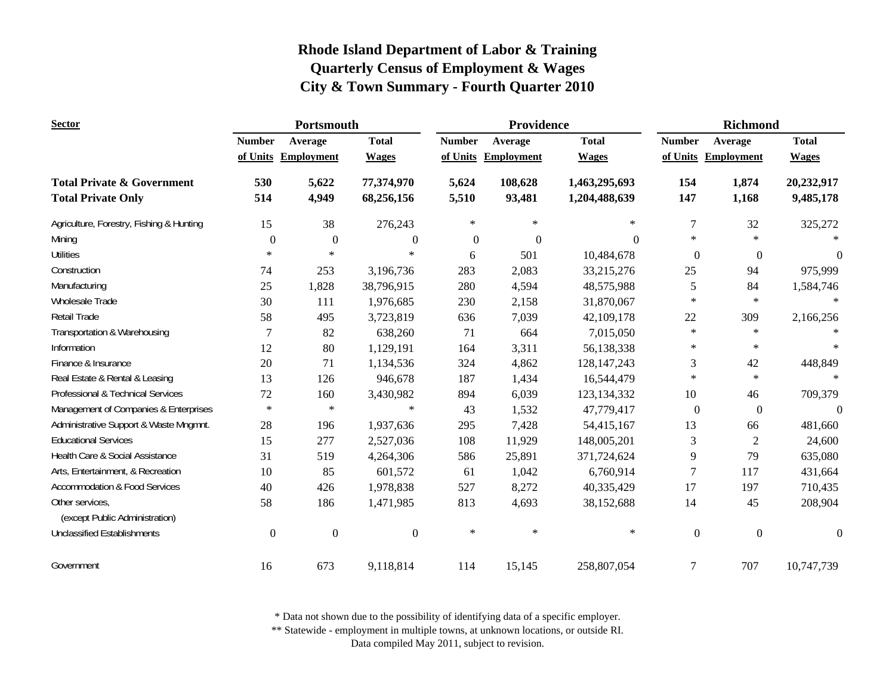| <b>Sector</b>                            | Portsmouth       |                     |                  |               | Providence        |               | <b>Richmond</b>  |                     |                |
|------------------------------------------|------------------|---------------------|------------------|---------------|-------------------|---------------|------------------|---------------------|----------------|
|                                          | <b>Number</b>    | Average             | <b>Total</b>     | <b>Number</b> | Average           | <b>Total</b>  | <b>Number</b>    | Average             | <b>Total</b>   |
|                                          |                  | of Units Employment | <b>Wages</b>     | of Units      | <b>Employment</b> | <b>Wages</b>  |                  | of Units Employment | <b>Wages</b>   |
| <b>Total Private &amp; Government</b>    | 530              | 5,622               | 77,374,970       | 5,624         | 108,628           | 1,463,295,693 | 154              | 1,874               | 20,232,917     |
| <b>Total Private Only</b>                | 514              | 4,949               | 68,256,156       | 5,510         | 93,481            | 1,204,488,639 | 147              | 1,168               | 9,485,178      |
| Agriculture, Forestry, Fishing & Hunting | 15               | 38                  | 276,243          | $\ast$        | $\ast$            | $\ast$        | 7                | 32                  | 325,272        |
| Mining                                   | $\theta$         | $\mathbf{0}$        | $\boldsymbol{0}$ | $\mathbf{0}$  | $\boldsymbol{0}$  | $\theta$      | $\ast$           | $\ast$              |                |
| <b>Utilities</b>                         | $\ast$           | $\ast$              | $\ast$           | 6             | 501               | 10,484,678    | $\overline{0}$   | $\boldsymbol{0}$    | $\Omega$       |
| Construction                             | 74               | 253                 | 3,196,736        | 283           | 2,083             | 33,215,276    | 25               | 94                  | 975,999        |
| Manufacturing                            | 25               | 1,828               | 38,796,915       | 280           | 4,594             | 48,575,988    | 5                | 84                  | 1,584,746      |
| Wholesale Trade                          | 30               | 111                 | 1,976,685        | 230           | 2,158             | 31,870,067    | $\ast$           | $\ast$              | $\ast$         |
| Retail Trade                             | 58               | 495                 | 3,723,819        | 636           | 7,039             | 42,109,178    | $22\,$           | 309                 | 2,166,256      |
| Transportation & Warehousing             | $\overline{7}$   | 82                  | 638,260          | 71            | 664               | 7,015,050     | $\ast$           | $\ast$              |                |
| Information                              | 12               | 80                  | 1,129,191        | 164           | 3,311             | 56,138,338    | $\ast$           | $\ast$              |                |
| Finance & Insurance                      | 20               | 71                  | 1,134,536        | 324           | 4,862             | 128, 147, 243 | $\mathfrak{Z}$   | 42                  | 448,849        |
| Real Estate & Rental & Leasing           | 13               | 126                 | 946,678          | 187           | 1,434             | 16,544,479    | $\ast$           | $\ast$              | $\ast$         |
| Professional & Technical Services        | 72               | 160                 | 3,430,982        | 894           | 6,039             | 123, 134, 332 | 10               | 46                  | 709,379        |
| Management of Companies & Enterprises    | $\ast$           | $\star$             | $\ast$           | 43            | 1,532             | 47,779,417    | $\overline{0}$   | $\boldsymbol{0}$    | $\overline{0}$ |
| Administrative Support & Waste Mngmnt.   | 28               | 196                 | 1,937,636        | 295           | 7,428             | 54,415,167    | 13               | 66                  | 481,660        |
| <b>Educational Services</b>              | 15               | 277                 | 2,527,036        | 108           | 11,929            | 148,005,201   | $\mathfrak{Z}$   | $\overline{2}$      | 24,600         |
| Health Care & Social Assistance          | 31               | 519                 | 4,264,306        | 586           | 25,891            | 371,724,624   | 9                | 79                  | 635,080        |
| Arts, Entertainment, & Recreation        | 10               | 85                  | 601,572          | 61            | 1,042             | 6,760,914     | $\overline{7}$   | 117                 | 431,664        |
| <b>Accommodation &amp; Food Services</b> | 40               | 426                 | 1,978,838        | 527           | 8,272             | 40,335,429    | 17               | 197                 | 710,435        |
| Other services,                          | 58               | 186                 | 1,471,985        | 813           | 4,693             | 38,152,688    | 14               | 45                  | 208,904        |
| (except Public Administration)           |                  |                     |                  |               |                   |               |                  |                     |                |
| <b>Unclassified Establishments</b>       | $\boldsymbol{0}$ | $\mathbf{0}$        | $\boldsymbol{0}$ | $\star$       | $\star$           | $\ast$        | $\boldsymbol{0}$ | $\boldsymbol{0}$    | $\mathbf{0}$   |
| Government                               | 16               | 673                 | 9,118,814        | 114           | 15,145            | 258,807,054   | $\boldsymbol{7}$ | 707                 | 10,747,739     |

\* Data not shown due to the possibility of identifying data of a specific employer.

\*\* Statewide - employment in multiple towns, at unknown locations, or outside RI.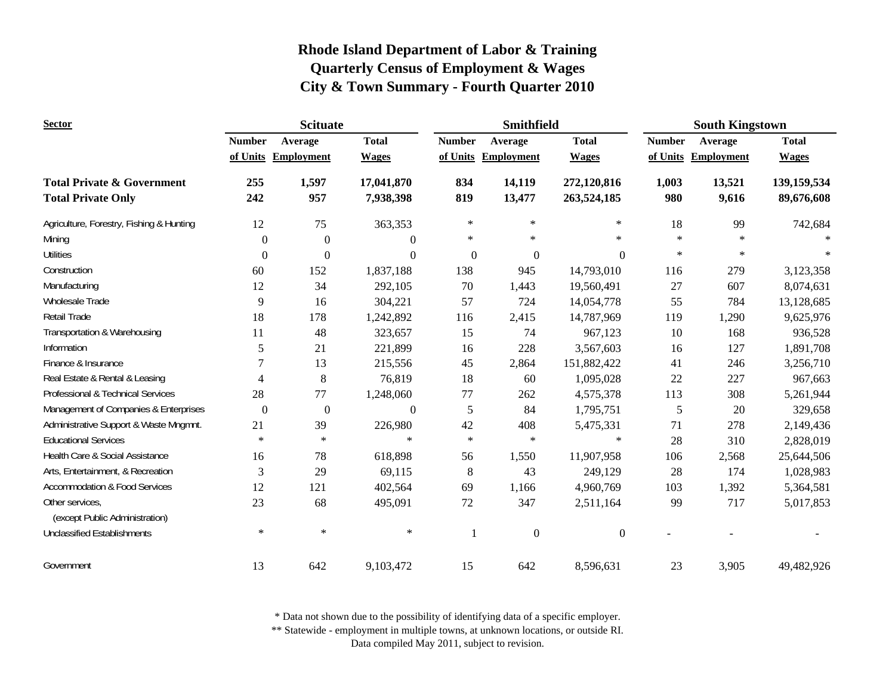| <b>Sector</b>                                     |               | <b>Scituate</b>     |                  |               | <b>Smithfield</b>   |                  | <b>South Kingstown</b> |                     |              |
|---------------------------------------------------|---------------|---------------------|------------------|---------------|---------------------|------------------|------------------------|---------------------|--------------|
|                                                   | <b>Number</b> | Average             | <b>Total</b>     | <b>Number</b> | Average             | <b>Total</b>     | <b>Number</b>          | Average             | <b>Total</b> |
|                                                   |               | of Units Employment | <b>Wages</b>     |               | of Units Employment | <b>Wages</b>     |                        | of Units Employment | <b>Wages</b> |
| <b>Total Private &amp; Government</b>             | 255           | 1,597               | 17,041,870       | 834           | 14,119              | 272,120,816      | 1,003                  | 13,521              | 139,159,534  |
| <b>Total Private Only</b>                         | 242           | 957                 | 7,938,398        | 819           | 13,477              | 263,524,185      | 980                    | 9,616               | 89,676,608   |
| Agriculture, Forestry, Fishing & Hunting          | 12            | 75                  | 363,353          | $\ast$        | $\ast$              | $\ast$           | 18                     | 99                  | 742,684      |
| Mining                                            | $\mathbf{0}$  | $\overline{0}$      | $\theta$         | $\ast$        | $\ast$              | $\ast$           | $\ast$                 | $\star$             |              |
| <b>Utilities</b>                                  | $\Omega$      | $\Omega$            | $\theta$         | $\Omega$      | $\mathbf{0}$        | $\Omega$         | $\ast$                 | $\star$             |              |
| Construction                                      | 60            | 152                 | 1,837,188        | 138           | 945                 | 14,793,010       | 116                    | 279                 | 3,123,358    |
| Manufacturing                                     | 12            | 34                  | 292,105          | 70            | 1,443               | 19,560,491       | 27                     | 607                 | 8,074,631    |
| Wholesale Trade                                   | 9             | 16                  | 304,221          | 57            | 724                 | 14,054,778       | 55                     | 784                 | 13,128,685   |
| Retail Trade                                      | 18            | 178                 | 1,242,892        | 116           | 2,415               | 14,787,969       | 119                    | 1,290               | 9,625,976    |
| Transportation & Warehousing                      | 11            | 48                  | 323,657          | 15            | 74                  | 967,123          | 10                     | 168                 | 936,528      |
| Information                                       | 5             | 21                  | 221,899          | 16            | 228                 | 3,567,603        | 16                     | 127                 | 1,891,708    |
| Finance & Insurance                               | 7             | 13                  | 215,556          | 45            | 2,864               | 151,882,422      | 41                     | 246                 | 3,256,710    |
| Real Estate & Rental & Leasing                    | 4             | $\,8\,$             | 76,819           | 18            | 60                  | 1,095,028        | 22                     | 227                 | 967,663      |
| Professional & Technical Services                 | 28            | 77                  | 1,248,060        | 77            | 262                 | 4,575,378        | 113                    | 308                 | 5,261,944    |
| Management of Companies & Enterprises             | $\mathbf{0}$  | $\overline{0}$      | $\boldsymbol{0}$ | 5             | 84                  | 1,795,751        | 5                      | 20                  | 329,658      |
| Administrative Support & Waste Mngmnt.            | 21            | 39                  | 226,980          | 42            | 408                 | 5,475,331        | 71                     | 278                 | 2,149,436    |
| <b>Educational Services</b>                       | $\ast$        | $\ast$              | $\ast$           | $\ast$        | $\ast$              | $\ast$           | 28                     | 310                 | 2,828,019    |
| Health Care & Social Assistance                   | 16            | 78                  | 618,898          | 56            | 1,550               | 11,907,958       | 106                    | 2,568               | 25,644,506   |
| Arts, Entertainment, & Recreation                 | 3             | 29                  | 69,115           | $\,8\,$       | 43                  | 249,129          | 28                     | 174                 | 1,028,983    |
| <b>Accommodation &amp; Food Services</b>          | 12            | 121                 | 402,564          | 69            | 1,166               | 4,960,769        | 103                    | 1,392               | 5,364,581    |
| Other services,<br>(except Public Administration) | 23            | 68                  | 495,091          | 72            | 347                 | 2,511,164        | 99                     | 717                 | 5,017,853    |
| <b>Unclassified Establishments</b>                | $\ast$        | $\ast$              | $\ast$           | $\mathbf{1}$  | $\boldsymbol{0}$    | $\boldsymbol{0}$ |                        |                     |              |
| Government                                        | 13            | 642                 | 9,103,472        | 15            | 642                 | 8,596,631        | 23                     | 3,905               | 49,482,926   |

\* Data not shown due to the possibility of identifying data of a specific employer.

\*\* Statewide - employment in multiple towns, at unknown locations, or outside RI.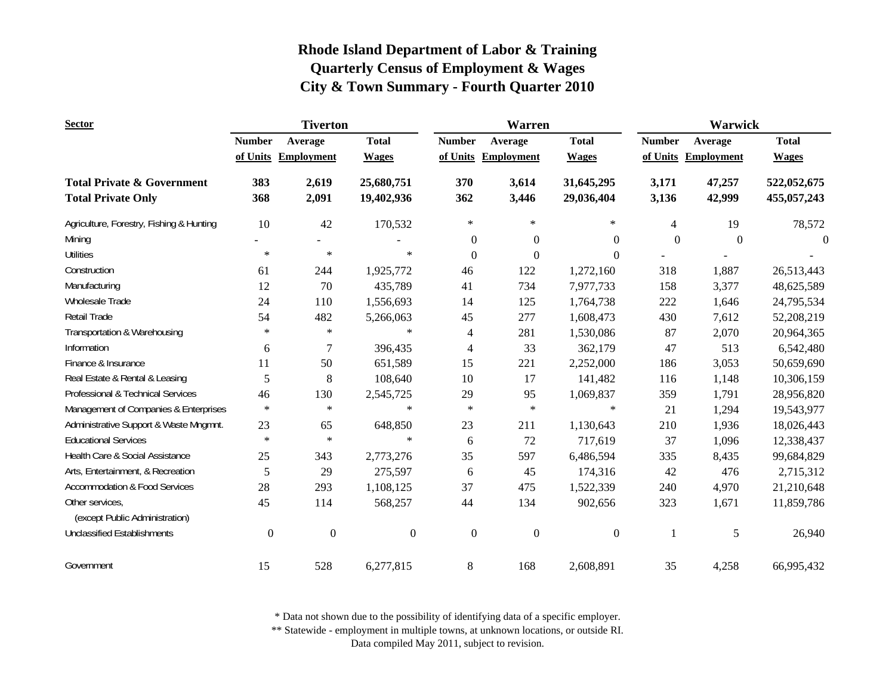| <b>Sector</b>                                     | <b>Tiverton</b>  |                   |              |                  | Warren            |              | Warwick        |                   |                |
|---------------------------------------------------|------------------|-------------------|--------------|------------------|-------------------|--------------|----------------|-------------------|----------------|
|                                                   | <b>Number</b>    | Average           | <b>Total</b> | <b>Number</b>    | Average           | <b>Total</b> | <b>Number</b>  | Average           | <b>Total</b>   |
|                                                   | of Units         | <b>Employment</b> | <b>Wages</b> | of Units         | <b>Employment</b> | <b>Wages</b> | of Units       | <b>Employment</b> | <b>Wages</b>   |
| <b>Total Private &amp; Government</b>             | 383              | 2,619             | 25,680,751   | 370              | 3,614             | 31,645,295   | 3,171          | 47,257            | 522,052,675    |
| <b>Total Private Only</b>                         | 368              | 2,091             | 19,402,936   | 362              | 3,446             | 29,036,404   | 3,136          | 42,999            | 455,057,243    |
| Agriculture, Forestry, Fishing & Hunting          | 10               | 42                | 170,532      | $\star$          | $\ast$            | $\ast$       | $\overline{4}$ | 19                | 78,572         |
| Mining                                            |                  |                   |              | $\boldsymbol{0}$ | $\boldsymbol{0}$  | $\theta$     | $\mathbf{0}$   | $\boldsymbol{0}$  | $\overline{0}$ |
| <b>Utilities</b>                                  | $\ast$           | $\ast$            | $\ast$       | $\boldsymbol{0}$ | $\boldsymbol{0}$  | $\Omega$     |                |                   |                |
| Construction                                      | 61               | 244               | 1,925,772    | 46               | 122               | 1,272,160    | 318            | 1,887             | 26,513,443     |
| Manufacturing                                     | 12               | 70                | 435,789      | 41               | 734               | 7,977,733    | 158            | 3,377             | 48,625,589     |
| <b>Wholesale Trade</b>                            | 24               | 110               | 1,556,693    | 14               | 125               | 1,764,738    | 222            | 1,646             | 24,795,534     |
| Retail Trade                                      | 54               | 482               | 5,266,063    | 45               | 277               | 1,608,473    | 430            | 7,612             | 52,208,219     |
| Transportation & Warehousing                      | $\ast$           | $\ast$            | $\ast$       | $\overline{4}$   | 281               | 1,530,086    | 87             | 2,070             | 20,964,365     |
| Information                                       | 6                | 7                 | 396,435      | 4                | 33                | 362,179      | 47             | 513               | 6,542,480      |
| Finance & Insurance                               | 11               | 50                | 651,589      | 15               | 221               | 2,252,000    | 186            | 3,053             | 50,659,690     |
| Real Estate & Rental & Leasing                    | 5                | 8                 | 108,640      | 10               | 17                | 141,482      | 116            | 1,148             | 10,306,159     |
| Professional & Technical Services                 | 46               | 130               | 2,545,725    | 29               | 95                | 1,069,837    | 359            | 1,791             | 28,956,820     |
| Management of Companies & Enterprises             | $\ast$           | $\ast$            | $\ast$       | $\ast$           | $\ast$            | $\ast$       | 21             | 1,294             | 19,543,977     |
| Administrative Support & Waste Mngmnt.            | 23               | 65                | 648,850      | 23               | 211               | 1,130,643    | 210            | 1,936             | 18,026,443     |
| <b>Educational Services</b>                       | $\ast$           | $\ast$            | $\ast$       | 6                | 72                | 717,619      | 37             | 1,096             | 12,338,437     |
| Health Care & Social Assistance                   | 25               | 343               | 2,773,276    | 35               | 597               | 6,486,594    | 335            | 8,435             | 99,684,829     |
| Arts, Entertainment, & Recreation                 | 5                | 29                | 275,597      | 6                | 45                | 174,316      | 42             | 476               | 2,715,312      |
| <b>Accommodation &amp; Food Services</b>          | 28               | 293               | 1,108,125    | 37               | 475               | 1,522,339    | 240            | 4,970             | 21,210,648     |
| Other services,<br>(except Public Administration) | 45               | 114               | 568,257      | 44               | 134               | 902,656      | 323            | 1,671             | 11,859,786     |
| <b>Unclassified Establishments</b>                | $\boldsymbol{0}$ | $\boldsymbol{0}$  | $\mathbf{0}$ | $\boldsymbol{0}$ | $\boldsymbol{0}$  | $\mathbf{0}$ | $\mathbf{1}$   | 5                 | 26,940         |
| Government                                        | 15               | 528               | 6,277,815    | 8                | 168               | 2,608,891    | 35             | 4,258             | 66,995,432     |

\* Data not shown due to the possibility of identifying data of a specific employer.

\*\* Statewide - employment in multiple towns, at unknown locations, or outside RI.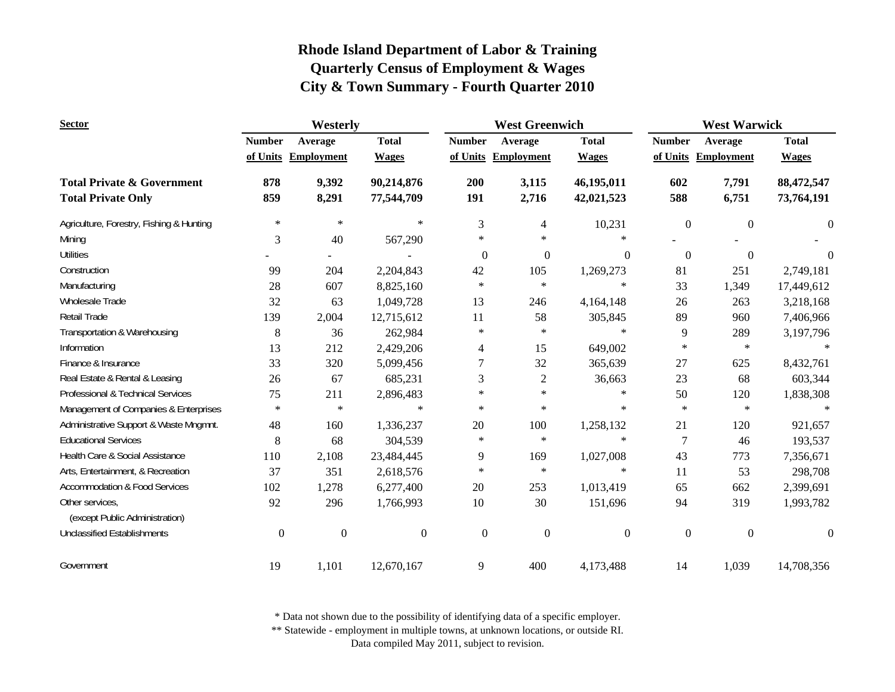| <b>Sector</b>                                     | Westerly         |                     |                  | <b>West Greenwich</b> |                     |                  | <b>West Warwick</b> |                     |                  |
|---------------------------------------------------|------------------|---------------------|------------------|-----------------------|---------------------|------------------|---------------------|---------------------|------------------|
|                                                   | <b>Number</b>    | Average             | <b>Total</b>     | <b>Number</b>         | Average             | <b>Total</b>     | <b>Number</b>       | Average             | <b>Total</b>     |
|                                                   |                  | of Units Employment | <b>Wages</b>     |                       | of Units Employment | <b>Wages</b>     |                     | of Units Employment | <b>Wages</b>     |
| <b>Total Private &amp; Government</b>             | 878              | 9,392               | 90,214,876       | 200                   | 3,115               | 46,195,011       | 602                 | 7,791               | 88,472,547       |
| <b>Total Private Only</b>                         | 859              | 8,291               | 77,544,709       | 191                   | 2,716               | 42,021,523       | 588                 | 6,751               | 73,764,191       |
| Agriculture, Forestry, Fishing & Hunting          | $\ast$           | $\ast$              | $\ast$           | 3                     | 4                   | 10,231           | $\boldsymbol{0}$    | $\boldsymbol{0}$    | $\boldsymbol{0}$ |
| Mining                                            | 3                | 40                  | 567,290          | $\ast$                | $\ast$              | $\ast$           |                     |                     |                  |
| <b>Utilities</b>                                  |                  |                     |                  | $\mathbf{0}$          | $\mathbf{0}$        | $\theta$         | $\Omega$            | $\Omega$            | $\theta$         |
| Construction                                      | 99               | 204                 | 2,204,843        | 42                    | 105                 | 1,269,273        | 81                  | 251                 | 2,749,181        |
| Manufacturing                                     | 28               | 607                 | 8,825,160        | $\ast$                | $\ast$              | $\ast$           | 33                  | 1,349               | 17,449,612       |
| Wholesale Trade                                   | 32               | 63                  | 1,049,728        | 13                    | 246                 | 4,164,148        | 26                  | 263                 | 3,218,168        |
| Retail Trade                                      | 139              | 2,004               | 12,715,612       | 11                    | 58                  | 305,845          | 89                  | 960                 | 7,406,966        |
| Transportation & Warehousing                      | 8                | 36                  | 262,984          | $\ast$                | $\ast$              | $\ast$           | 9                   | 289                 | 3,197,796        |
| Information                                       | 13               | 212                 | 2,429,206        | 4                     | 15                  | 649,002          | $\ast$              | $\ast$              |                  |
| Finance & Insurance                               | 33               | 320                 | 5,099,456        | 7                     | 32                  | 365,639          | 27                  | 625                 | 8,432,761        |
| Real Estate & Rental & Leasing                    | 26               | 67                  | 685,231          | 3                     | $\mathbf{2}$        | 36,663           | 23                  | 68                  | 603,344          |
| Professional & Technical Services                 | 75               | 211                 | 2,896,483        | *                     | $\star$             | $\ast$           | 50                  | 120                 | 1,838,308        |
| Management of Companies & Enterprises             | $\ast$           | $\ast$              | $\ast$           | $\ast$                | $\ast$              | $\ast$           | $\ast$              | $\ast$              | $\ast$           |
| Administrative Support & Waste Mngmnt.            | 48               | 160                 | 1,336,237        | 20                    | 100                 | 1,258,132        | 21                  | 120                 | 921,657          |
| <b>Educational Services</b>                       | 8                | 68                  | 304,539          | $\ast$                | $\ast$              | $\ast$           | $\overline{7}$      | 46                  | 193,537          |
| Health Care & Social Assistance                   | 110              | 2,108               | 23,484,445       | 9                     | 169                 | 1,027,008        | 43                  | 773                 | 7,356,671        |
| Arts, Entertainment, & Recreation                 | 37               | 351                 | 2,618,576        | $\ast$                | $\ast$              | $\ast$           | 11                  | 53                  | 298,708          |
| <b>Accommodation &amp; Food Services</b>          | 102              | 1,278               | 6,277,400        | 20                    | 253                 | 1,013,419        | 65                  | 662                 | 2,399,691        |
| Other services,<br>(except Public Administration) | 92               | 296                 | 1,766,993        | 10                    | 30                  | 151,696          | 94                  | 319                 | 1,993,782        |
|                                                   |                  |                     |                  |                       |                     |                  |                     |                     |                  |
| <b>Unclassified Establishments</b>                | $\boldsymbol{0}$ | $\boldsymbol{0}$    | $\boldsymbol{0}$ | $\mathbf{0}$          | $\boldsymbol{0}$    | $\boldsymbol{0}$ | $\boldsymbol{0}$    | $\mathbf{0}$        | $\boldsymbol{0}$ |
| Government                                        | 19               | 1,101               | 12,670,167       | 9                     | 400                 | 4,173,488        | 14                  | 1,039               | 14,708,356       |

\* Data not shown due to the possibility of identifying data of a specific employer.

\*\* Statewide - employment in multiple towns, at unknown locations, or outside RI.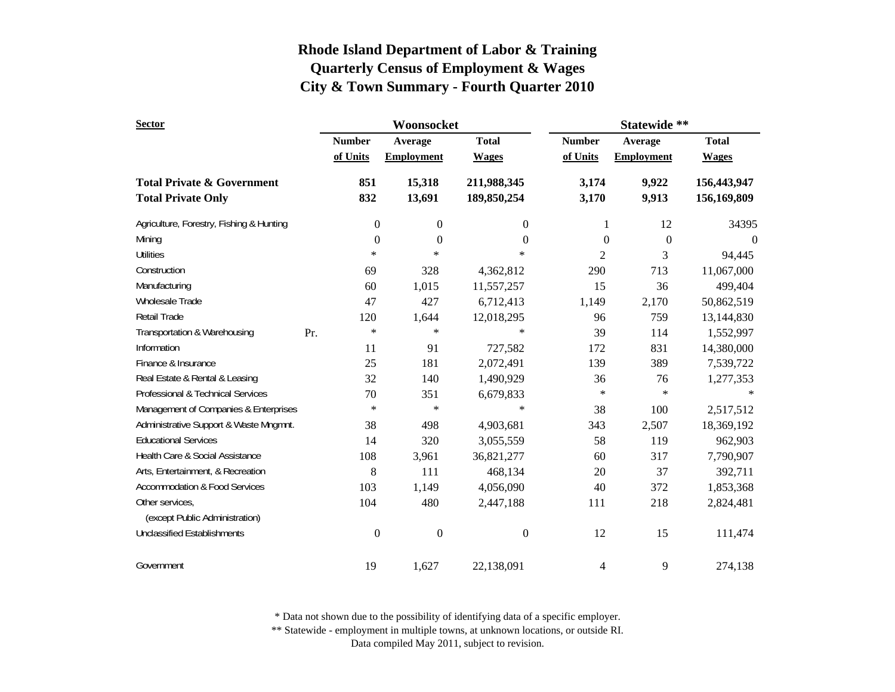| <b>Sector</b>                            |     |                  | Woonsocket        |                  | Statewide **     |                   |                              |  |
|------------------------------------------|-----|------------------|-------------------|------------------|------------------|-------------------|------------------------------|--|
|                                          |     | <b>Number</b>    | Average           | <b>Total</b>     | <b>Number</b>    | Average           | <b>Total</b><br><b>Wages</b> |  |
|                                          |     | of Units         | <b>Employment</b> | <b>Wages</b>     | of Units         | <b>Employment</b> |                              |  |
| <b>Total Private &amp; Government</b>    |     | 851              | 15,318            | 211,988,345      | 3,174            | 9,922             | 156,443,947                  |  |
| <b>Total Private Only</b>                |     | 832              | 13,691            | 189,850,254      | 3,170            | 9,913             | 156,169,809                  |  |
| Agriculture, Forestry, Fishing & Hunting |     | 0                | $\boldsymbol{0}$  | $\boldsymbol{0}$ | 1                | 12                | 34395                        |  |
| Mining                                   |     | $\overline{0}$   | $\boldsymbol{0}$  | $\mathbf{0}$     | $\boldsymbol{0}$ | $\boldsymbol{0}$  | $\overline{0}$               |  |
| <b>Utilities</b>                         |     | $\ast$           | $\ast$            | $\ast$           | 2                | 3                 |                              |  |
| Construction                             |     | 69               | 328               | 4,362,812        | 290              | 713               | 11,067,000                   |  |
| Manufacturing                            |     | 60               | 1,015             | 11,557,257       | 15               | 36                | 499,404                      |  |
| Wholesale Trade                          |     | 47               | 427               | 6,712,413        | 1,149            | 2,170             | 50,862,519                   |  |
| Retail Trade                             |     | 120              | 1,644             | 12,018,295       | 96               | 759               | 13,144,830                   |  |
| Transportation & Warehousing             | Pr. | $\ast$           | $\ast$            | $\ast$           | 39               | 114               | 1,552,997                    |  |
| Information                              |     | 11               | 91                | 727,582          | 172              | 831               | 14,380,000                   |  |
| Finance & Insurance                      |     | 25               | 181               | 2,072,491        | 139              | 389               | 7,539,722                    |  |
| Real Estate & Rental & Leasing           |     | 32               | 140               | 1,490,929        | 36               | 76                | 1,277,353                    |  |
| Professional & Technical Services        |     | 70               | 351               | 6,679,833        | $\ast$           | $\ast$            |                              |  |
| Management of Companies & Enterprises    |     | $\ast$           | $\ast$            | $\ast$           | 38               | 100               | 2,517,512                    |  |
| Administrative Support & Waste Mngmnt.   |     | 38               | 498               | 4,903,681        | 343              | 2,507             | 18,369,192                   |  |
| <b>Educational Services</b>              |     | 14               | 320               | 3,055,559        | 58               | 119               | 962,903                      |  |
| Health Care & Social Assistance          |     | 108              | 3,961             | 36,821,277       | 60               | 317               | 7,790,907                    |  |
| Arts, Entertainment, & Recreation        |     | 8                | 111               | 468,134          | 20               | 37                | 392,711                      |  |
| <b>Accommodation &amp; Food Services</b> |     | 103              | 1,149             | 4,056,090        | 40               | 372               | 1,853,368                    |  |
| Other services,                          |     | 104              | 480               | 2,447,188        | 111              | 218               | 2,824,481                    |  |
| (except Public Administration)           |     |                  |                   |                  |                  |                   |                              |  |
| <b>Unclassified Establishments</b>       |     | $\boldsymbol{0}$ | $\boldsymbol{0}$  | $\Omega$         | 12               | 15                | 111,474                      |  |
| Government                               |     | 19               | 1,627             | 22,138,091       | 4                | 9                 | 274,138                      |  |

\* Data not shown due to the possibility of identifying data of a specific employer.

\*\* Statewide - employment in multiple towns, at unknown locations, or outside RI.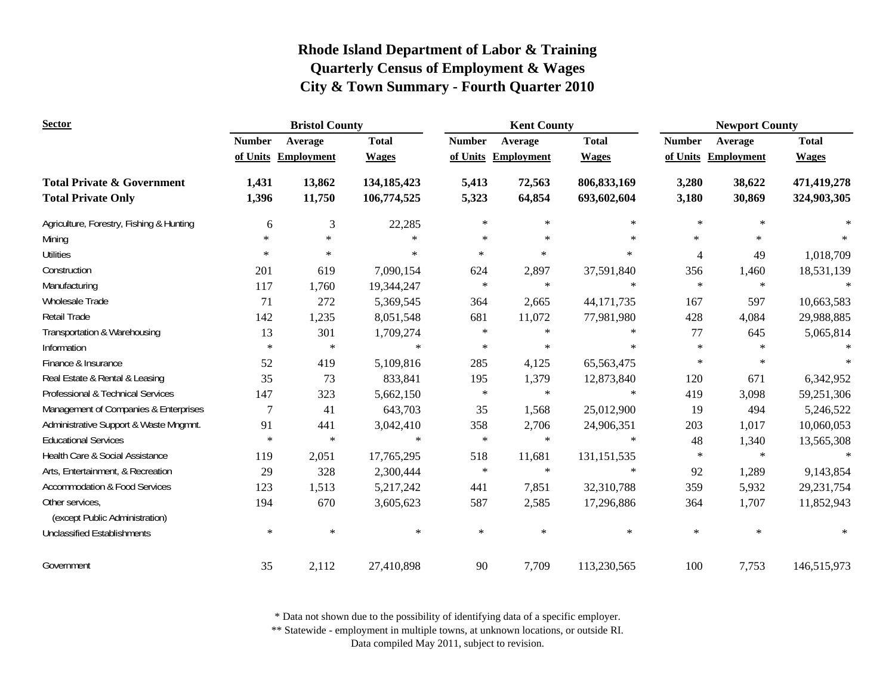| <b>Sector</b>                                     | <b>Bristol County</b> |                   |               | <b>Kent County</b> |                     |               | <b>Newport County</b> |                   |               |
|---------------------------------------------------|-----------------------|-------------------|---------------|--------------------|---------------------|---------------|-----------------------|-------------------|---------------|
|                                                   | <b>Number</b>         | Average           | <b>Total</b>  | <b>Number</b>      | Average             | <b>Total</b>  | <b>Number</b>         | Average           | <b>Total</b>  |
|                                                   | of Units              | <b>Employment</b> | <b>Wages</b>  |                    | of Units Employment | <b>Wages</b>  | of Units              | <b>Employment</b> | <b>Wages</b>  |
| <b>Total Private &amp; Government</b>             | 1,431                 | 13,862            | 134, 185, 423 | 5,413              | 72,563              | 806, 833, 169 | 3,280                 | 38,622            | 471,419,278   |
| <b>Total Private Only</b>                         | 1,396                 | 11,750            | 106,774,525   | 5,323              | 64,854              | 693,602,604   | 3,180                 | 30,869            | 324,903,305   |
| Agriculture, Forestry, Fishing & Hunting          | 6                     | 3                 | 22,285        | $\ast$             | $\ast$              | $\ast$        | $\ast$                | $\ast$            | $\ast$        |
| Mining                                            | $\ast$                | $\ast$            | $\ast$        | $\ast$             | $\ast$              | $\ast$        | $\ast$                | $\ast$            |               |
| <b>Utilities</b>                                  | $\ast$                | $\ast$            | $\ast$        | $\ast$             | $\ast$              | $\ast$        | 4                     | 49                | 1,018,709     |
| Construction                                      | 201                   | 619               | 7,090,154     | 624                | 2,897               | 37,591,840    | 356                   | 1,460             | 18,531,139    |
| Manufacturing                                     | 117                   | 1,760             | 19,344,247    | $\ast$             | $\ast$              | $\ast$        | $\ast$                | $\ast$            | $\star$       |
| Wholesale Trade                                   | 71                    | 272               | 5,369,545     | 364                | 2,665               | 44,171,735    | 167                   | 597               | 10,663,583    |
| <b>Retail Trade</b>                               | 142                   | 1,235             | 8,051,548     | 681                | 11,072              | 77,981,980    | 428                   | 4,084             | 29,988,885    |
| Transportation & Warehousing                      | 13                    | 301               | 1,709,274     | $\ast$             | $\star$             | $\ast$        | 77                    | 645               | 5,065,814     |
| Information                                       | $\ast$                | $\ast$            | $\ast$        | $\ast$             | $\ast$              | $\ast$        | $\ast$                | $\ast$            |               |
| Finance & Insurance                               | 52                    | 419               | 5,109,816     | 285                | 4,125               | 65,563,475    | $\ast$                | $\ast$            | $\mathcal{A}$ |
| Real Estate & Rental & Leasing                    | 35                    | 73                | 833,841       | 195                | 1,379               | 12,873,840    | 120                   | 671               | 6,342,952     |
| Professional & Technical Services                 | 147                   | 323               | 5,662,150     | $\ast$             | $\ast$              | $\ast$        | 419                   | 3,098             | 59,251,306    |
| Management of Companies & Enterprises             | 7                     | 41                | 643,703       | 35                 | 1,568               | 25,012,900    | 19                    | 494               | 5,246,522     |
| Administrative Support & Waste Mngmnt.            | 91                    | 441               | 3,042,410     | 358                | 2,706               | 24,906,351    | 203                   | 1,017             | 10,060,053    |
| <b>Educational Services</b>                       | $\ast$                | $\ast$            | $\ast$        | $\ast$             | $\star$             | $\ast$        | 48                    | 1,340             | 13,565,308    |
| Health Care & Social Assistance                   | 119                   | 2,051             | 17,765,295    | 518                | 11,681              | 131, 151, 535 | $\ast$                | $\ast$            | $\star$       |
| Arts, Entertainment, & Recreation                 | 29                    | 328               | 2,300,444     | $\ast$             | $\ast$              | $\ast$        | 92                    | 1,289             | 9,143,854     |
| <b>Accommodation &amp; Food Services</b>          | 123                   | 1,513             | 5,217,242     | 441                | 7,851               | 32,310,788    | 359                   | 5,932             | 29, 231, 754  |
| Other services.<br>(except Public Administration) | 194                   | 670               | 3,605,623     | 587                | 2,585               | 17,296,886    | 364                   | 1,707             | 11,852,943    |
| <b>Unclassified Establishments</b>                | $\ast$                | $\ast$            | $\ast$        | $\ast$             | $\ast$              | $\ast$        | $\ast$                | $\ast$            | $\ast$        |
| Government                                        | 35                    | 2,112             | 27,410,898    | 90                 | 7,709               | 113,230,565   | 100                   | 7,753             | 146,515,973   |

\* Data not shown due to the possibility of identifying data of a specific employer.

\*\* Statewide - employment in multiple towns, at unknown locations, or outside RI.